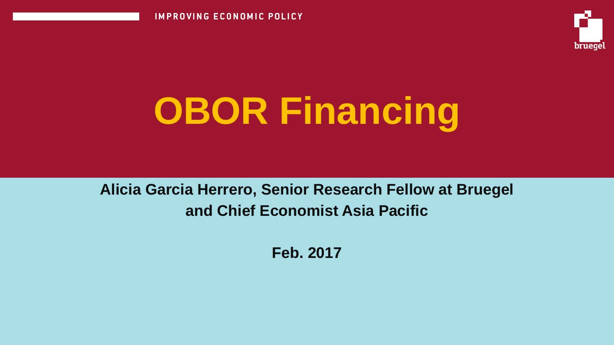**IMPROVING ECONOMIC POLICY** 



# **OBOR Financing**

**Alicia Garcia Herrero, Senior Research Fellow at Bruegel and Chief Economist Asia Pacific**

**Feb. 2017**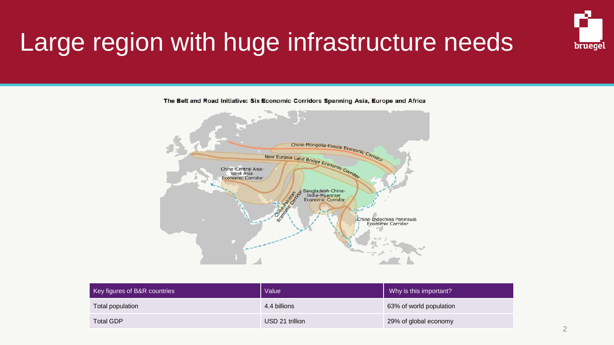

# Large region with huge infrastructure needs

The Belt and Road Initiative: Six Economic Corridors Spanning Asia, Europe and Africa



| Key figures of B&R countries | Value           | Why is this important?  |
|------------------------------|-----------------|-------------------------|
| Total population             | 4.4 billions    | 63% of world population |
| Total GDP                    | USD 21 trillion | 29% of global economy   |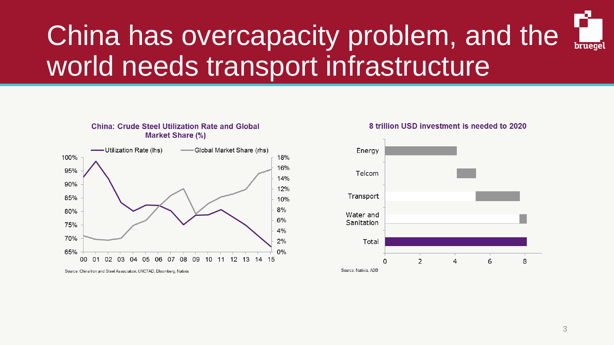## China has overcapacity problem, and the bruege world needs transport infrastructure



**China: Crude Steel Utilization Rate and Global** 

Source: China Iron and Steel Association, UNCTAD, Bloomberg, Natixis

### 8 trillion USD investment is needed to 2020

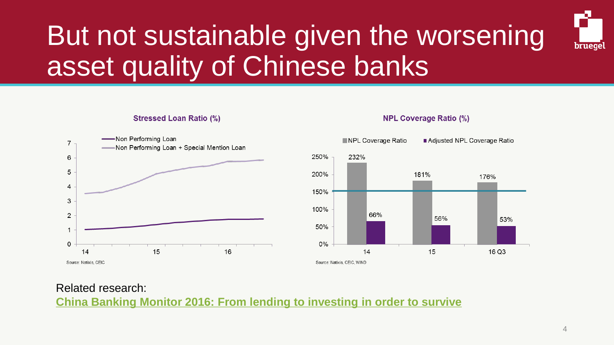# But not sustainable given the worsening asset quality of Chinese banks



### **Stressed Loan Ratio (%)**



#### NPL Coverage Ratio Adjusted NPL Coverage Ratio 250% 232% 200% 181% 176% 150% 100% 66% 56% 53% 50%  $0\%$ 14 15 16 Q3 Source: Natixis, CEIC, WIND

### **NPL Coverage Ratio (%)**

## Related research: **[China Banking Monitor 2016: From lending to investing in order to survive](https://www.research.natixis.com/GlobalResearchWeb/Main/GlobalResearch/ViewDocument/tOzWO221Ms8hlQnDp7JtfQ==)**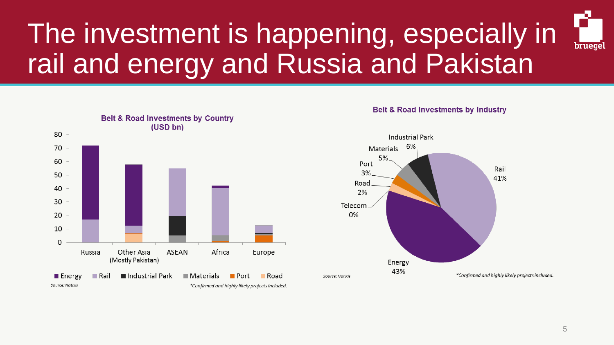# The investment is happening, especially in rail and energy and Russia and Pakistan



### **Belt & Road Investments by Industry**



bruege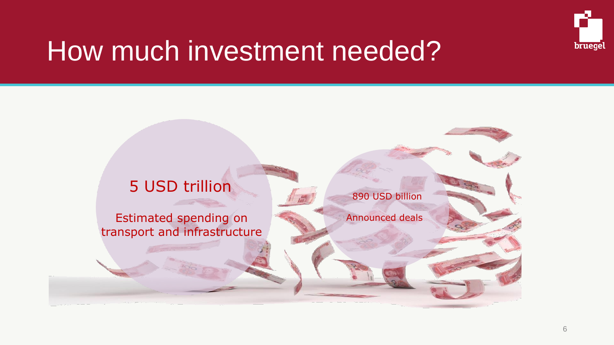

# How much investment needed?

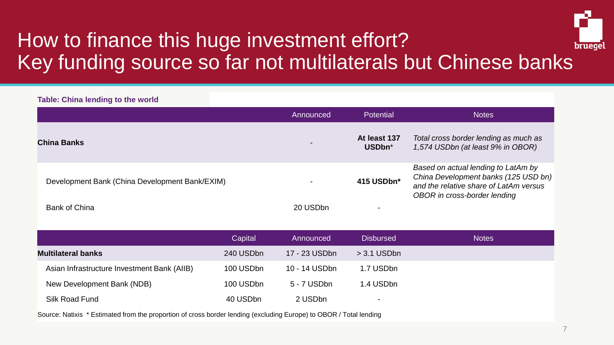

## How to finance this huge investment effort? Key funding source so far not multilaterals but Chinese banks

### **Table: China lending to the world**

|                                                | Announced      | <b>Potential</b>       | <b>Notes</b>                                                                                                                                          |
|------------------------------------------------|----------------|------------------------|-------------------------------------------------------------------------------------------------------------------------------------------------------|
| <b>China Banks</b>                             | $\blacksquare$ | At least 137<br>USDbn* | Total cross border lending as much as<br>1,574 USDbn (at least 9% in OBOR)                                                                            |
| Development Bank (China Development Bank/EXIM) |                | 415 USDbn*             | Based on actual lending to LatAm by<br>China Development banks (125 USD bn)<br>and the relative share of LatAm versus<br>OBOR in cross-border lending |
| <b>Bank of China</b>                           | 20 USDbn       |                        |                                                                                                                                                       |

|                                             | Capital   | Announced     | <b>Disbursed</b>         | <b>Notes</b> |
|---------------------------------------------|-----------|---------------|--------------------------|--------------|
| <b>Multilateral banks</b>                   | 240 USDbn | 17 - 23 USDbn | $>$ 3.1 USDbn            |              |
| Asian Infrastructure Investment Bank (AIIB) | 100 USDbn | 10 - 14 USDbn | 1.7 USDbn                |              |
| New Development Bank (NDB)                  | 100 USDbn | 5 - 7 USDbn   | 1.4 USDbn                |              |
| Silk Road Fund                              | 40 USDbn  | 2 USDbn       | $\overline{\phantom{0}}$ |              |

Source: Natixis \* Estimated from the proportion of cross border lending (excluding Europe) to OBOR / Total lending